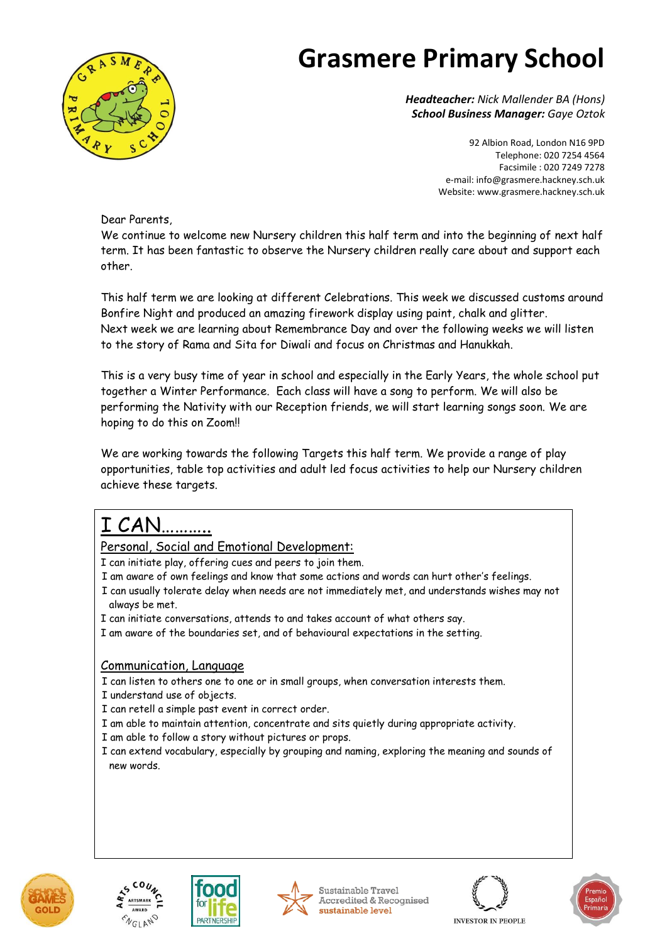

*Headteacher: Nick Mallender BA (Hons) School Business Manager: Gaye Oztok*

> 92 Albion Road, London N16 9PD Telephone: 020 7254 4564 Facsimile : 020 7249 7278 e-mail[: info@grasmere.hackney.sch.uk](mailto:info@grasmere.hackney.sch.uk) Website[: www.grasmere.hackney.sch.uk](http://www.schoolswire.co.uk/public/grasmere008.html.nocache)

Dear Parents,

We continue to welcome new Nursery children this half term and into the beginning of next half term. It has been fantastic to observe the Nursery children really care about and support each other.

This half term we are looking at different Celebrations. This week we discussed customs around Bonfire Night and produced an amazing firework display using paint, chalk and glitter. Next week we are learning about Remembrance Day and over the following weeks we will listen to the story of Rama and Sita for Diwali and focus on Christmas and Hanukkah.

This is a very busy time of year in school and especially in the Early Years, the whole school put together a Winter Performance. Each class will have a song to perform. We will also be performing the Nativity with our Reception friends, we will start learning songs soon. We are hoping to do this on Zoom!!

We are working towards the following Targets this half term. We provide a range of play opportunities, table top activities and adult led focus activities to help our Nursery children achieve these targets.

### I CAN………..

Personal, Social and Emotional Development:

I can initiate play, offering cues and peers to join them.

- I am aware of own feelings and know that some actions and words can hurt other's feelings.
- I can usually tolerate delay when needs are not immediately met, and understands wishes may not always be met.
- I can initiate conversations, attends to and takes account of what others say.
- I am aware of the boundaries set, and of behavioural expectations in the setting.

### Communication, Language

I can listen to others one to one or in small groups, when conversation interests them.

- I understand use of objects.
- I can retell a simple past event in correct order.
- I am able to maintain attention, concentrate and sits quietly during appropriate activity.
- I am able to follow a story without pictures or props.
- I can extend vocabulary, especially by grouping and naming, exploring the meaning and sounds of new words.















**INVESTOR IN PEOPLE**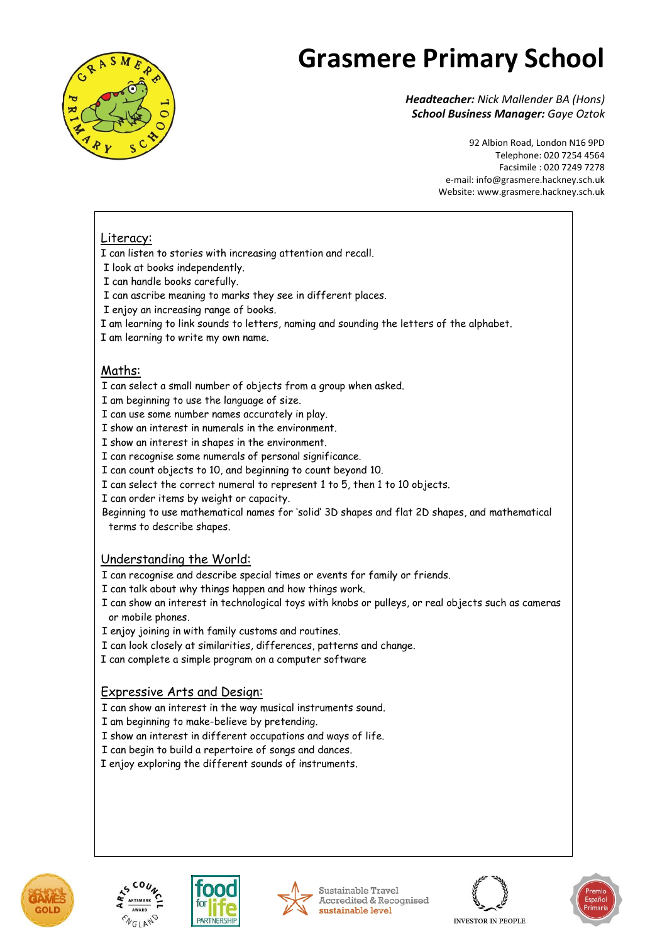

*Headteacher: Nick Mallender BA (Hons) School Business Manager: Gaye Oztok*

> 92 Albion Road, London N16 9PD Telephone: 020 7254 4564 Facsimile : 020 7249 7278 e-mail[: info@grasmere.hackney.sch.uk](mailto:info@grasmere.hackney.sch.uk) Website[: www.grasmere.hackney.sch.uk](http://www.schoolswire.co.uk/public/grasmere008.html.nocache)

#### Literacy:

I can listen to stories with increasing attention and recall.

- I look at books independently.
- I can handle books carefully.
- I can ascribe meaning to marks they see in different places.
- I enjoy an increasing range of books.
- I am learning to link sounds to letters, naming and sounding the letters of the alphabet.
- I am learning to write my own name.

### Maths:

- I can select a small number of objects from a group when asked.
- I am beginning to use the language of size.
- I can use some number names accurately in play.
- I show an interest in numerals in the environment.
- I show an interest in shapes in the environment.
- I can recognise some numerals of personal significance.
- I can count objects to 10, and beginning to count beyond 10.
- I can select the correct numeral to represent 1 to 5, then 1 to 10 objects.
- I can order items by weight or capacity.
- Beginning to use mathematical names for 'solid' 3D shapes and flat 2D shapes, and mathematical terms to describe shapes.

#### Understanding the World:

- I can recognise and describe special times or events for family or friends.
- I can talk about why things happen and how things work.
- I can show an interest in technological toys with knobs or pulleys, or real objects such as cameras or mobile phones.
- I enjoy joining in with family customs and routines.
- I can look closely at similarities, differences, patterns and change.
- I can complete a simple program on a computer software

#### Expressive Arts and Design:

- I can show an interest in the way musical instruments sound.
- I am beginning to make-believe by pretending.
- I show an interest in different occupations and ways of life.
- I can begin to build a repertoire of songs and dances.
- I enjoy exploring the different sounds of instruments.

**PARTNERSHI** 









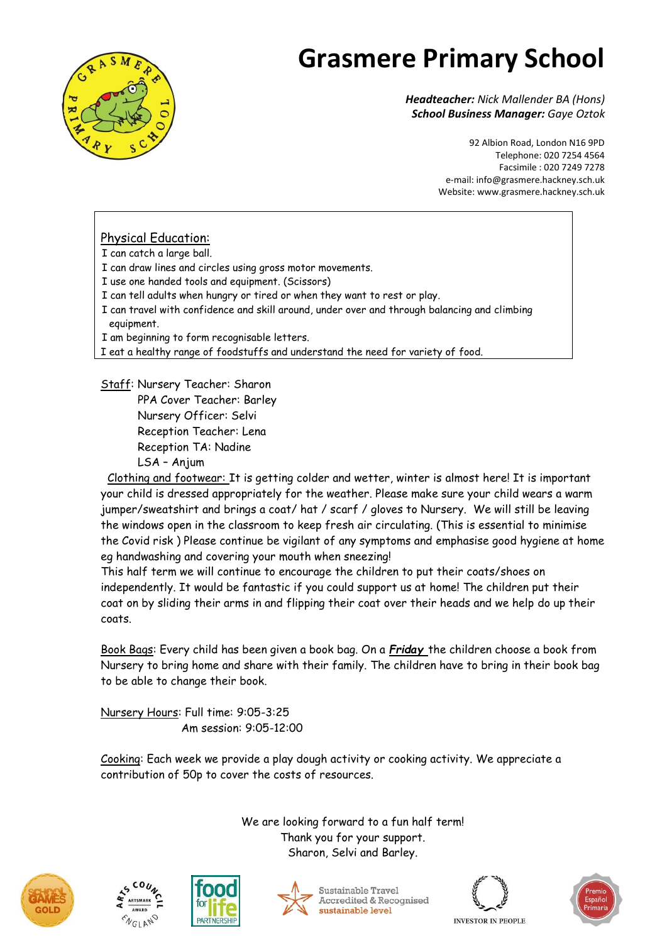

*Headteacher: Nick Mallender BA (Hons) School Business Manager: Gaye Oztok*

> 92 Albion Road, London N16 9PD Telephone: 020 7254 4564 Facsimile : 020 7249 7278 e-mail[: info@grasmere.hackney.sch.uk](mailto:info@grasmere.hackney.sch.uk) Website[: www.grasmere.hackney.sch.uk](http://www.schoolswire.co.uk/public/grasmere008.html.nocache)

### Physical Education:

I can catch a large ball.

I can draw lines and circles using gross motor movements.

I use one handed tools and equipment. (Scissors)

I can tell adults when hungry or tired or when they want to rest or play.

I can travel with confidence and skill around, under over and through balancing and climbing equipment.

I am beginning to form recognisable letters.

I eat a healthy range of foodstuffs and understand the need for variety of food.

Staff: Nursery Teacher: Sharon PPA Cover Teacher: Barley Nursery Officer: Selvi Reception Teacher: Lena Reception TA: Nadine LSA – Anjum

 Clothing and footwear: It is getting colder and wetter, winter is almost here! It is important your child is dressed appropriately for the weather. Please make sure your child wears a warm jumper/sweatshirt and brings a coat/ hat / scarf / gloves to Nursery. We will still be leaving the windows open in the classroom to keep fresh air circulating. (This is essential to minimise the Covid risk ) Please continue be vigilant of any symptoms and emphasise good hygiene at home eg handwashing and covering your mouth when sneezing!

This half term we will continue to encourage the children to put their coats/shoes on independently. It would be fantastic if you could support us at home! The children put their coat on by sliding their arms in and flipping their coat over their heads and we help do up their coats.

Book Bags: Every child has been given a book bag. On a *Friday* the children choose a book from Nursery to bring home and share with their family. The children have to bring in their book bag to be able to change their book.

Nursery Hours: Full time: 9:05-3:25 Am session: 9:05-12:00

Cooking: Each week we provide a play dough activity or cooking activity. We appreciate a contribution of 50p to cover the costs of resources.

> We are looking forward to a fun half term! Thank you for your support. Sharon, Selvi and Barley.















**INVESTOR IN PEOPLE**